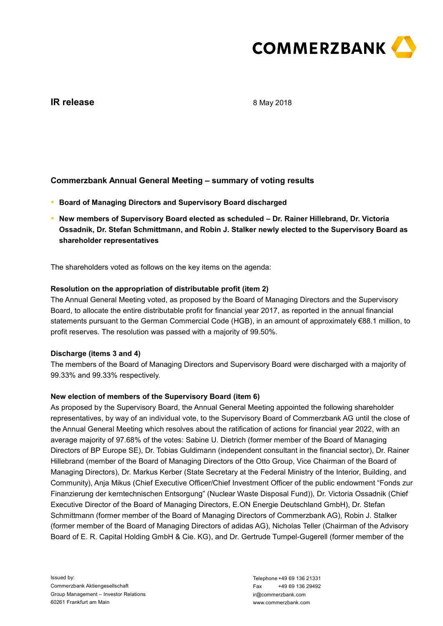

# **IR release**

8 May 2018

# **Commerzbank Annual General Meeting – summary of voting results**

- **● Board of Managing Directors and Supervisory Board discharged**
- **● New members of Supervisory Board elected as scheduled – Dr. Rainer Hillebrand, Dr. Victoria Ossadnik, Dr. Stefan Schmittmann, and Robin J. Stalker newly elected to the Supervisory Board as shareholder representatives**

The shareholders voted as follows on the key items on the agenda:

## **Resolution on the appropriation of distributable profit (item 2)**

The Annual General Meeting voted, as proposed by the Board of Managing Directors and the Supervisory Board, to allocate the entire distributable profit for financial year 2017, as reported in the annual financial statements pursuant to the German Commercial Code (HGB), in an amount of approximately €88.1 million, to profit reserves. The resolution was passed with a majority of 99.50%.

### **Discharge (items 3 and 4)**

The members of the Board of Managing Directors and Supervisory Board were discharged with a majority of 99.33% and 99.33% respectively.

## **New election of members of the Supervisory Board (item 6)**

As proposed by the Supervisory Board, the Annual General Meeting appointed the following shareholder representatives, by way of an individual vote, to the Supervisory Board of Commerzbank AG until the close of the Annual General Meeting which resolves about the ratification of actions for financial year 2022, with an average majority of 97.68% of the votes: Sabine U. Dietrich (former member of the Board of Managing Directors of BP Europe SE), Dr. Tobias Guldimann (independent consultant in the financial sector), Dr. Rainer Hillebrand (member of the Board of Managing Directors of the Otto Group, Vice Chairman of the Board of Managing Directors), Dr. Markus Kerber (State Secretary at the Federal Ministry of the Interior, Building, and Community), Anja Mikus (Chief Executive Officer/Chief Investment Officer of the public endowment "Fonds zur Finanzierung der kerntechnischen Entsorgung" (Nuclear Waste Disposal Fund)), Dr. Victoria Ossadnik (Chief Executive Director of the Board of Managing Directors, E.ON Energie Deutschland GmbH), Dr. Stefan Schmittmann (former member of the Board of Managing Directors of Commerzbank AG), Robin J. Stalker (former member of the Board of Managing Directors of adidas AG), Nicholas Teller (Chairman of the Advisory Board of E. R. Capital Holding GmbH & Cie. KG), and Dr. Gertrude Tumpel-Gugerell (former member of the

Issued by: Commerzbank Aktiengesellschaft Group Management – Investor Relations 60261 Frankfurt am Main 60261 Frankfurt am Main National Commerzian American Commerzian Music Commerzian American Commerzian American<br>Verantwortlich: American Commerzian American Commerzian American Commerzian American American Commerzian Ameri<br>M

Telephone +49 69 136 21331 Fax +49 69 136 29492 ir@commerzbank.com www.commerzbank.com